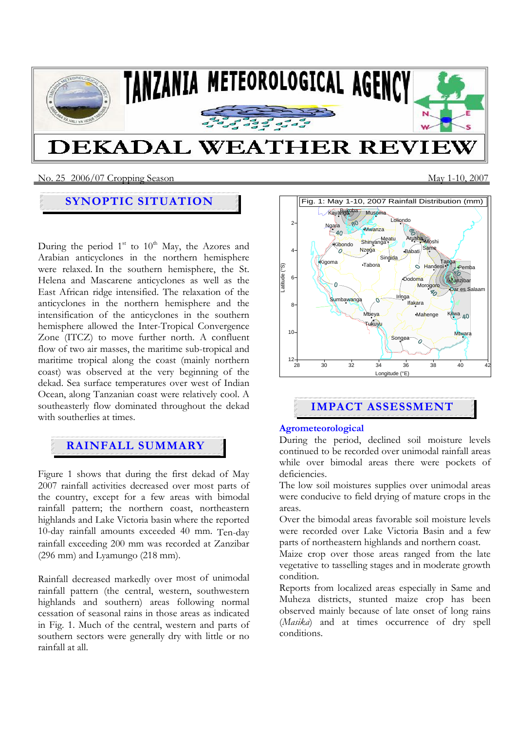

No. 25 2006/07 Cropping SeasonMay 1-10, 2007

# **SYNOPTIC SITUATION**

During the period  $1<sup>st</sup>$  to  $10<sup>th</sup>$  May, the Azores and Arabian anticyclones in the northern hemisphere were relaxed. In the southern hemisphere, the St. Helena and Mascarene anticyclones as well as the East African ridge intensified. The relaxation of the anticyclones in the northern hemisphere and the intensification of the anticyclones in the southern hemisphere allowed the Inter-Tropical Convergence Zone (ITCZ) to move further north. A confluent flow of two air masses, the maritime sub-tropical and maritime tropical along the coast (mainly northern coast) was observed at the very beginning of the dekad. Sea surface temperatures over west of Indian Ocean, along Tanzanian coast were relatively cool. A southeasterly flow dominated throughout the dekad with southerlies at times.

# **RAINFALL SUMMARY**

Figure 1 shows that during the first dekad of May 2007 rainfall activities decreased over most parts of the country, except for a few areas with bimodal rainfall pattern; the northern coast, northeastern highlands and Lake Victoria basin where the reported 10-day rainfall amounts exceeded 40 mm. Ten-day rainfall exceeding 200 mm was recorded at Zanzibar (296 mm) and Lyamungo (218 mm).

Rainfall decreased markedly over most of unimodal rainfall pattern (the central, western, southwestern highlands and southern) areas following normal cessation of seasonal rains in those areas as indicated in Fig. 1. Much of the central, western and parts of southern sectors were generally dry with little or no rainfall at all.



# **IMPACT ASSESSMENT**

## **Agrometeorological**

During the period, declined soil moisture levels continued to be recorded over unimodal rainfall areas while over bimodal areas there were pockets of deficiencies.

The low soil moistures supplies over unimodal areas were conducive to field drying of mature crops in the areas.

Over the bimodal areas favorable soil moisture levels were recorded over Lake Victoria Basin and a few parts of northeastern highlands and northern coast.

Maize crop over those areas ranged from the late vegetative to tasselling stages and in moderate growth condition.

Reports from localized areas especially in Same and Muheza districts, stunted maize crop has been observed mainly because of late onset of long rains (*Masika*) and at times occurrence of dry spell conditions.